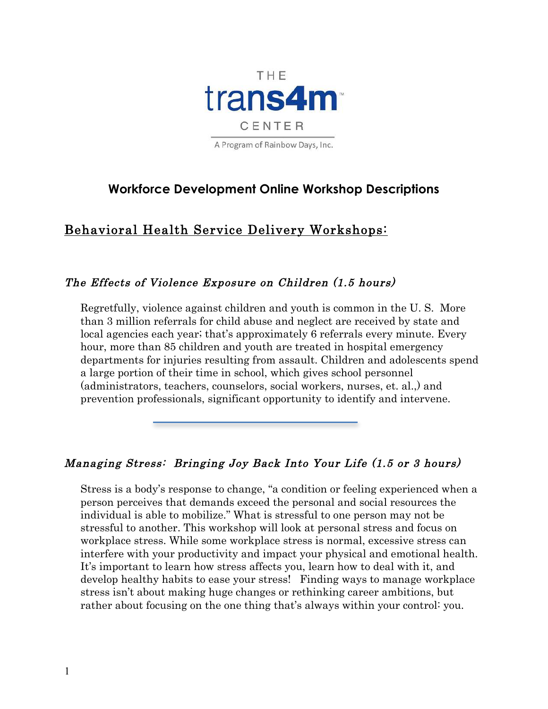

# **Workforce Development Online Workshop Descriptions**

# Behavioral Health Service Delivery Workshops:

# The Effects of Violence Exposure on Children (1.5 hours)

Regretfully, violence against children and youth is common in the U. S. More than 3 million referrals for child abuse and neglect are received by state and local agencies each year; that's approximately 6 referrals every minute. Every hour, more than 85 children and youth are treated in hospital emergency departments for injuries resulting from assault. Children and adolescents spend a large portion of their time in school, which gives school personnel (administrators, teachers, counselors, social workers, nurses, et. al.,) and prevention professionals, significant opportunity to identify and intervene.

# Managing Stress: Bringing Joy Back Into Your Life (1.5 or 3 hours)

Stress is a body's response to change, "a condition or feeling experienced when a person perceives that demands exceed the personal and social resources the individual is able to mobilize." What is stressful to one person may not be stressful to another. This workshop will look at personal stress and focus on workplace stress. While some workplace stress is normal, excessive stress can interfere with your productivity and impact your physical and emotional health. It's important to learn how stress affects you, learn how to deal with it, and develop healthy habits to ease your stress! Finding ways to manage workplace stress isn't about making huge changes or rethinking career ambitions, but rather about focusing on the one thing that's always within your control: you.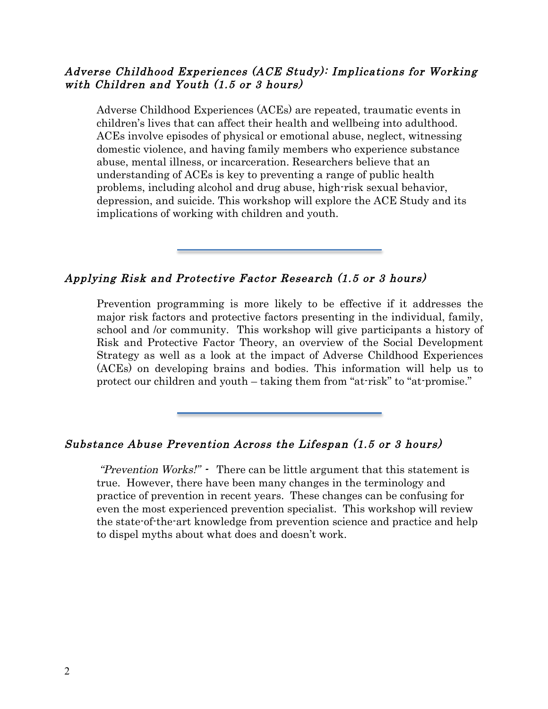# Adverse Childhood Experiences (ACE Study): Implications for Working with Children and Youth (1.5 or 3 hours)

Adverse Childhood Experiences (ACEs) are repeated, traumatic events in children's lives that can affect their health and wellbeing into adulthood. ACEs involve episodes of physical or emotional abuse, neglect, witnessing domestic violence, and having family members who experience substance abuse, mental illness, or incarceration. Researchers believe that an understanding of ACEs is key to preventing a range of public health problems, including alcohol and drug abuse, high-risk sexual behavior, depression, and suicide. This workshop will explore the ACE Study and its implications of working with children and youth.

# Applying Risk and Protective Factor Research (1.5 or 3 hours)

Prevention programming is more likely to be effective if it addresses the major risk factors and protective factors presenting in the individual, family, school and /or community. This workshop will give participants a history of Risk and Protective Factor Theory, an overview of the Social Development Strategy as well as a look at the impact of Adverse Childhood Experiences (ACEs) on developing brains and bodies. This information will help us to protect our children and youth – taking them from "at-risk" to "at-promise."

# Substance Abuse Prevention Across the Lifespan (1.5 or 3 hours)

"Prevention Works!" - There can be little argument that this statement is true. However, there have been many changes in the terminology and practice of prevention in recent years. These changes can be confusing for even the most experienced prevention specialist. This workshop will review the state-of-the-art knowledge from prevention science and practice and help to dispel myths about what does and doesn't work.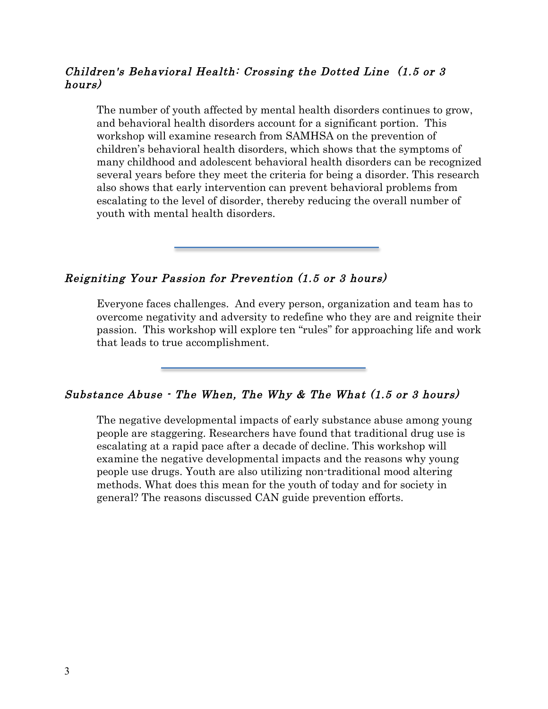# Children's Behavioral Health: Crossing the Dotted Line (1.5 or 3 hours)

The number of youth affected by mental health disorders continues to grow, and behavioral health disorders account for a significant portion. This workshop will examine research from SAMHSA on the prevention of children's behavioral health disorders, which shows that the symptoms of many childhood and adolescent behavioral health disorders can be recognized several years before they meet the criteria for being a disorder. This research also shows that early intervention can prevent behavioral problems from escalating to the level of disorder, thereby reducing the overall number of youth with mental health disorders.

# Reigniting Your Passion for Prevention (1.5 or 3 hours)

Everyone faces challenges. And every person, organization and team has to overcome negativity and adversity to redefine who they are and reignite their passion. This workshop will explore ten "rules" for approaching life and work that leads to true accomplishment.

# Substance Abuse - The When, The Why & The What (1.5 or 3 hours)

The negative developmental impacts of early substance abuse among young people are staggering. Researchers have found that traditional drug use is escalating at a rapid pace after a decade of decline. This workshop will examine the negative developmental impacts and the reasons why young people use drugs. Youth are also utilizing non-traditional mood altering methods. What does this mean for the youth of today and for society in general? The reasons discussed CAN guide prevention efforts.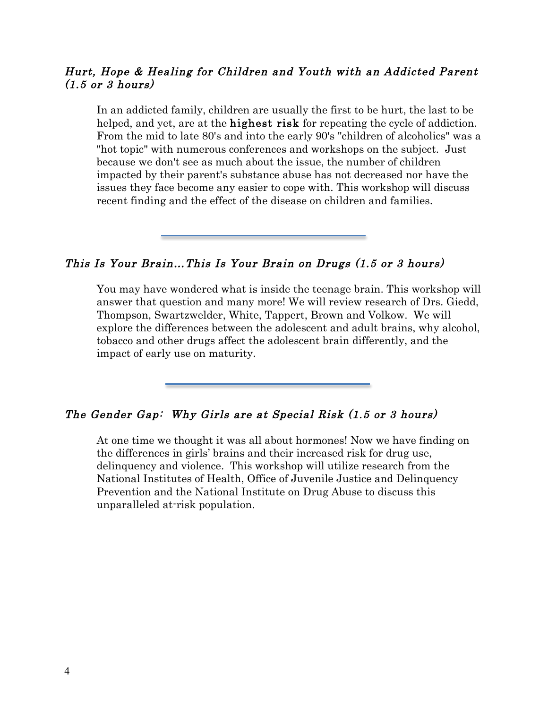# Hurt, Hope & Healing for Children and Youth with an Addicted Parent  $(1.5 \text{ or } 3 \text{ hours})$

In an addicted family, children are usually the first to be hurt, the last to be helped, and yet, are at the **highest risk** for repeating the cycle of addiction. From the mid to late 80's and into the early 90's "children of alcoholics" was a "hot topic" with numerous conferences and workshops on the subject. Just because we don't see as much about the issue, the number of children impacted by their parent's substance abuse has not decreased nor have the issues they face become any easier to cope with. This workshop will discuss recent finding and the effect of the disease on children and families.

This Is Your Brain…This Is Your Brain on Drugs (1.5 or 3 hours)

You may have wondered what is inside the teenage brain. This workshop will answer that question and many more! We will review research of Drs. Giedd, Thompson, Swartzwelder, White, Tappert, Brown and Volkow. We will explore the differences between the adolescent and adult brains, why alcohol, tobacco and other drugs affect the adolescent brain differently, and the impact of early use on maturity.

# The Gender Gap: Why Girls are at Special Risk (1.5 or 3 hours)

At one time we thought it was all about hormones! Now we have finding on the differences in girls' brains and their increased risk for drug use, delinquency and violence. This workshop will utilize research from the National Institutes of Health, Office of Juvenile Justice and Delinquency Prevention and the National Institute on Drug Abuse to discuss this unparalleled at-risk population.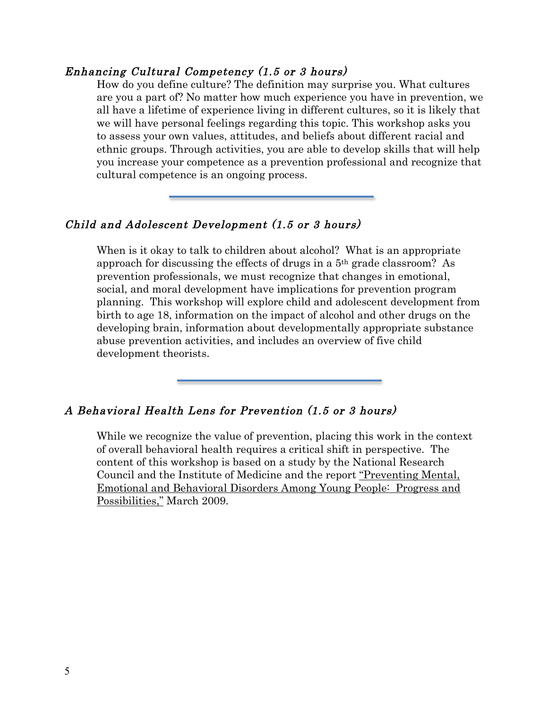#### Enhancing Cultural Competency (1.5 or 3 hours)

How do you define culture? The definition may surprise you. What cultures are you a part of? No matter how much experience you have in prevention, we all have a lifetime of experience living in different cultures, so it is likely that we will have personal feelings regarding this topic. This workshop asks you to assess your own values, attitudes, and beliefs about different racial and ethnic groups. Through activities, you are able to develop skills that will help you increase your competence as a prevention professional and recognize that cultural competence is an ongoing process.

#### Child and Adolescent Development (1.5 or 3 hours)

When is it okay to talk to children about alcohol? What is an appropriate approach for discussing the effects of drugs in a 5th grade classroom? As prevention professionals, we must recognize that changes in emotional, social, and moral development have implications for prevention program planning. This workshop will explore child and adolescent development from birth to age 18, information on the impact of alcohol and other drugs on the developing brain, information about developmentally appropriate substance abuse prevention activities, and includes an overview of five child development theorists.

### A Behavioral Health Lens for Prevention (1.5 or 3 hours)

While we recognize the value of prevention, placing this work in the context of overall behavioral health requires a critical shift in perspective. The content of this workshop is based on a study by the National Research Council and the Institute of Medicine and the report "Preventing Mental, Emotional and Behavioral Disorders Among Young People: Progress and Possibilities," March 2009.